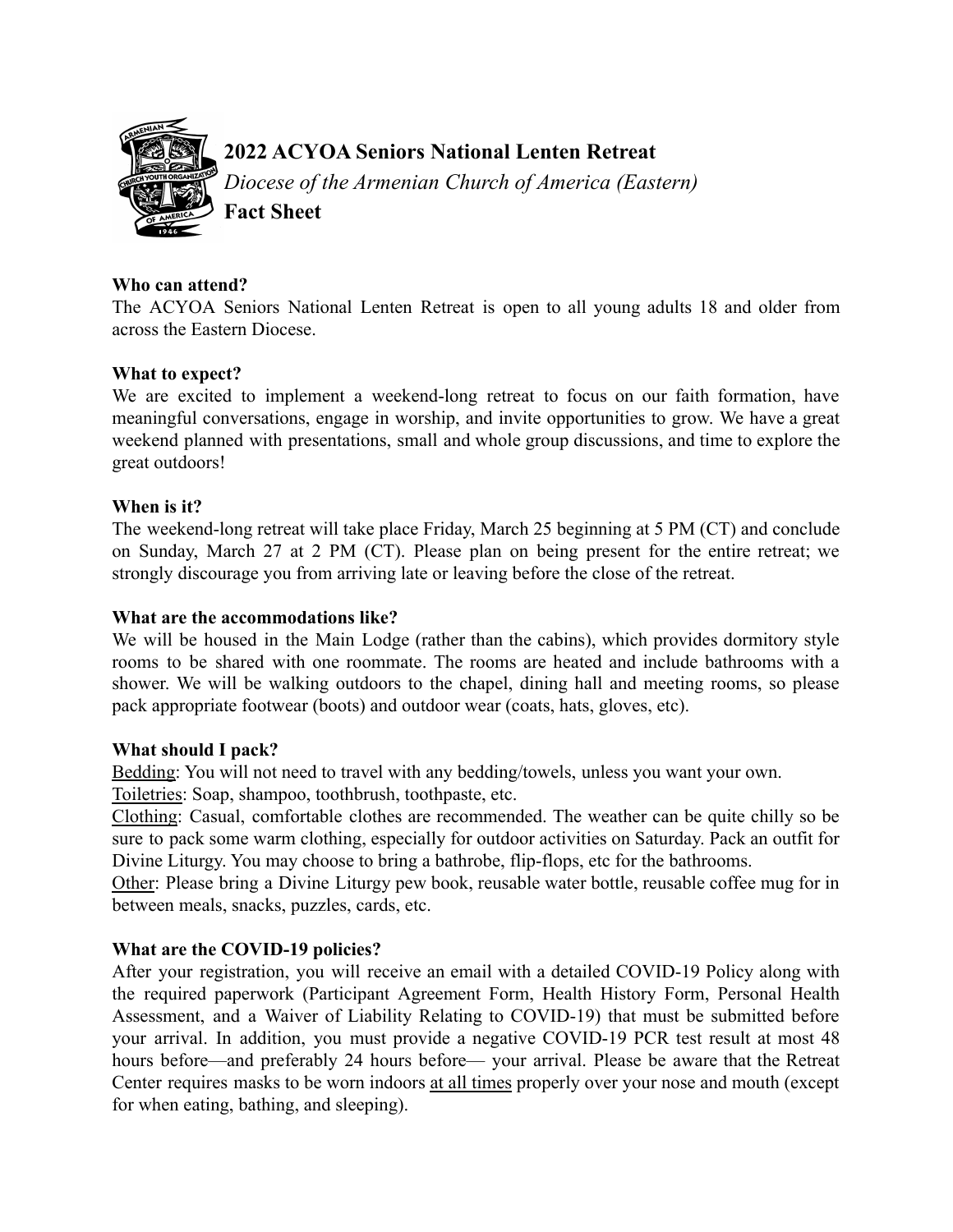

# **2022 ACYOA Seniors National Lenten Retreat**

*Diocese of the Armenian Church of America (Eastern)* **Fact Sheet**

#### **Who can attend?**

The ACYOA Seniors National Lenten Retreat is open to all young adults 18 and older from across the Eastern Diocese.

## **What to expect?**

We are excited to implement a weekend-long retreat to focus on our faith formation, have meaningful conversations, engage in worship, and invite opportunities to grow. We have a great weekend planned with presentations, small and whole group discussions, and time to explore the great outdoors!

## **When is it?**

The weekend-long retreat will take place Friday, March 25 beginning at 5 PM (CT) and conclude on Sunday, March 27 at 2 PM (CT). Please plan on being present for the entire retreat; we strongly discourage you from arriving late or leaving before the close of the retreat.

#### **What are the accommodations like?**

We will be housed in the Main Lodge (rather than the cabins), which provides dormitory style rooms to be shared with one roommate. The rooms are heated and include bathrooms with a shower. We will be walking outdoors to the chapel, dining hall and meeting rooms, so please pack appropriate footwear (boots) and outdoor wear (coats, hats, gloves, etc).

## **What should I pack?**

Bedding: You will not need to travel with any bedding/towels, unless you want your own.

Toiletries: Soap, shampoo, toothbrush, toothpaste, etc.

Clothing: Casual, comfortable clothes are recommended. The weather can be quite chilly so be sure to pack some warm clothing, especially for outdoor activities on Saturday. Pack an outfit for Divine Liturgy. You may choose to bring a bathrobe, flip-flops, etc for the bathrooms.

Other: Please bring a Divine Liturgy pew book, reusable water bottle, reusable coffee mug for in between meals, snacks, puzzles, cards, etc.

## **What are the COVID-19 policies?**

After your registration, you will receive an email with a detailed COVID-19 Policy along with the required paperwork (Participant Agreement Form, Health History Form, Personal Health Assessment, and a Waiver of Liability Relating to COVID-19) that must be submitted before your arrival. In addition, you must provide a negative COVID-19 PCR test result at most 48 hours before—and preferably 24 hours before— your arrival. Please be aware that the Retreat Center requires masks to be worn indoors at all times properly over your nose and mouth (except for when eating, bathing, and sleeping).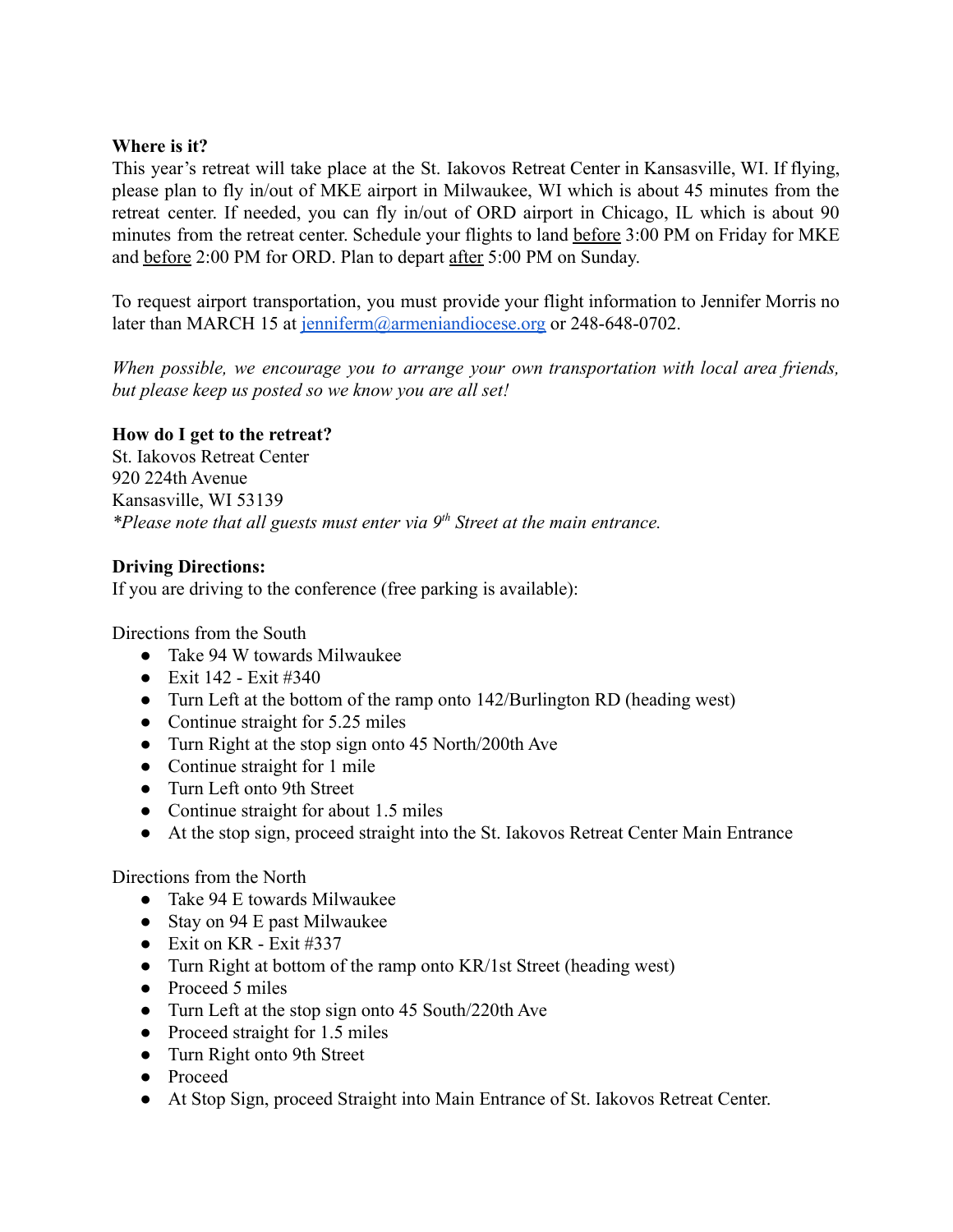#### **Where is it?**

This year's retreat will take place at the St. Iakovos Retreat Center in Kansasville, WI. If flying, please plan to fly in/out of MKE airport in Milwaukee, WI which is about 45 minutes from the retreat center. If needed, you can fly in/out of ORD airport in Chicago, IL which is about 90 minutes from the retreat center. Schedule your flights to land before 3:00 PM on Friday for MKE and before 2:00 PM for ORD. Plan to depart after 5:00 PM on Sunday.

To request airport transportation, you must provide your flight information to Jennifer Morris no later than MARCH 15 at [jenniferm@armeniandiocese.org](mailto:jenniferm@armeniandiocese.org) or 248-648-0702.

*When possible, we encourage you to arrange your own transportation with local area friends, but please keep us posted so we know you are all set!*

## **How do I get to the retreat?**

St. Iakovos Retreat Center 920 224th Avenue Kansasville, WI 53139 *\*Please note that all guests must enter via 9th Street at the main entrance.*

#### **Driving Directions:**

If you are driving to the conference (free parking is available):

Directions from the South

- Take 94 W towards Milwaukee
- Exit  $142 5x$ it #340
- Turn Left at the bottom of the ramp onto 142/Burlington RD (heading west)
- Continue straight for 5.25 miles
- Turn Right at the stop sign onto 45 North/200th Ave
- Continue straight for 1 mile
- Turn Left onto 9th Street
- Continue straight for about 1.5 miles
- At the stop sign, proceed straight into the St. Iakovos Retreat Center Main Entrance

Directions from the North

- Take 94 E towards Milwaukee
- Stay on 94 E past Milwaukee
- $\bullet$  Exit on KR Exit #337
- Turn Right at bottom of the ramp onto KR/1st Street (heading west)
- Proceed 5 miles
- Turn Left at the stop sign onto 45 South/220th Ave
- Proceed straight for 1.5 miles
- Turn Right onto 9th Street
- Proceed
- At Stop Sign, proceed Straight into Main Entrance of St. Iakovos Retreat Center.